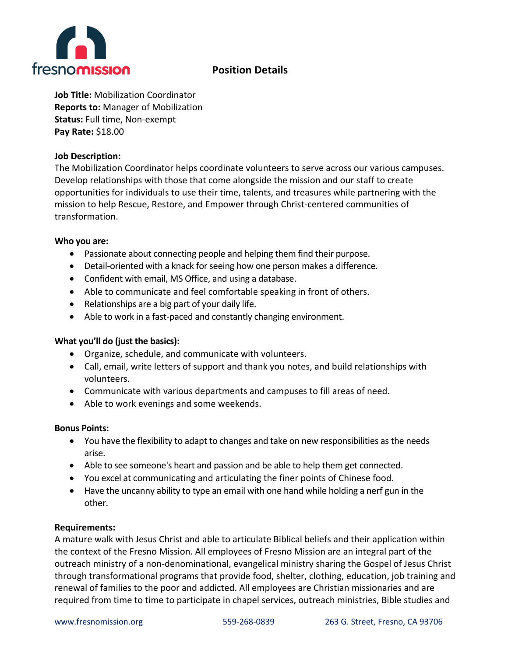

# **Position Details**

**Job Title:** Mobilization Coordinator **Reports to:** Manager of Mobilization **Status:** Full time, Non-exempt **Pay Rate:** \$18.00

## **Job Description:**

The Mobilization Coordinator helps coordinate volunteers to serve across our various campuses. Develop relationships with those that come alongside the mission and our staff to create opportunities for individuals to use their time, talents, and treasures while partnering with the mission to help Rescue, Restore, and Empower through Christ-centered communities of transformation.

## **Who you are:**

- Passionate about connecting people and helping them find their purpose.
- Detail-oriented with a knack for seeing how one person makes a difference.
- Confident with email, MS Office, and using a database.
- Able to communicate and feel comfortable speaking in front of others.
- Relationships are a big part of your daily life.
- Able to work in a fast-paced and constantly changing environment.

## **What you'll do (just the basics):**

- Organize, schedule, and communicate with volunteers.
- Call, email, write letters of support and thank you notes, and build relationships with volunteers.
- Communicate with various departments and campuses to fill areas of need.
- Able to work evenings and some weekends.

## **Bonus Points:**

- You have the flexibility to adapt to changes and take on new responsibilities as the needs arise.
- Able to see someone's heart and passion and be able to help them get connected.
- You excel at communicating and articulating the finer points of Chinese food.
- Have the uncanny ability to type an email with one hand while holding a nerf gun in the other.

## **Requirements:**

A mature walk with Jesus Christ and able to articulate Biblical beliefs and their application within the context of the Fresno Mission. All employees of Fresno Mission are an integral part of the outreach ministry of a non-denominational, evangelical ministry sharing the Gospel of Jesus Christ through transformational programs that provide food, shelter, clothing, education, job training and renewal of families to the poor and addicted. All employees are Christian missionaries and are required from time to time to participate in chapel services, outreach ministries, Bible studies and